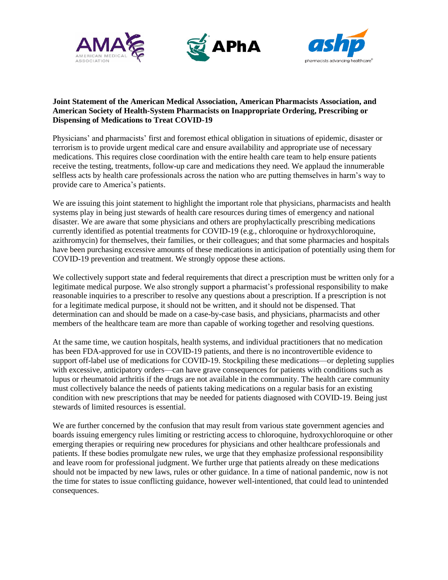





## **Joint Statement of the American Medical Association, American Pharmacists Association, and American Society of Health-System Pharmacists on Inappropriate Ordering, Prescribing or Dispensing of Medications to Treat COVID-19**

Physicians' and pharmacists' first and foremost ethical obligation in situations of epidemic, disaster or terrorism is to provide urgent medical care and ensure availability and appropriate use of necessary medications. This requires close coordination with the entire health care team to help ensure patients receive the testing, treatments, follow-up care and medications they need. We applaud the innumerable selfless acts by health care professionals across the nation who are putting themselves in harm's way to provide care to America's patients.

We are issuing this joint statement to highlight the important role that physicians, pharmacists and health systems play in being just stewards of health care resources during times of emergency and national disaster. We are aware that some physicians and others are prophylactically prescribing medications currently identified as potential treatments for COVID-19 (e.g., chloroquine or hydroxychloroquine, azithromycin) for themselves, their families, or their colleagues; and that some pharmacies and hospitals have been purchasing excessive amounts of these medications in anticipation of potentially using them for COVID-19 prevention and treatment. We strongly oppose these actions.

We collectively support state and federal requirements that direct a prescription must be written only for a legitimate medical purpose. We also strongly support a pharmacist's professional responsibility to make reasonable inquiries to a prescriber to resolve any questions about a prescription. If a prescription is not for a legitimate medical purpose, it should not be written, and it should not be dispensed. That determination can and should be made on a case-by-case basis, and physicians, pharmacists and other members of the healthcare team are more than capable of working together and resolving questions.

At the same time, we caution hospitals, health systems, and individual practitioners that no medication has been FDA-approved for use in COVID-19 patients, and there is no incontrovertible evidence to support off-label use of medications for COVID-19. Stockpiling these medications—or depleting supplies with excessive, anticipatory orders—can have grave consequences for patients with conditions such as lupus or rheumatoid arthritis if the drugs are not available in the community. The health care community must collectively balance the needs of patients taking medications on a regular basis for an existing condition with new prescriptions that may be needed for patients diagnosed with COVID-19. Being just stewards of limited resources is essential.

We are further concerned by the confusion that may result from various state government agencies and boards issuing emergency rules limiting or restricting access to chloroquine, hydroxychloroquine or other emerging therapies or requiring new procedures for physicians and other healthcare professionals and patients. If these bodies promulgate new rules, we urge that they emphasize professional responsibility and leave room for professional judgment. We further urge that patients already on these medications should not be impacted by new laws, rules or other guidance. In a time of national pandemic, now is not the time for states to issue conflicting guidance, however well-intentioned, that could lead to unintended consequences.